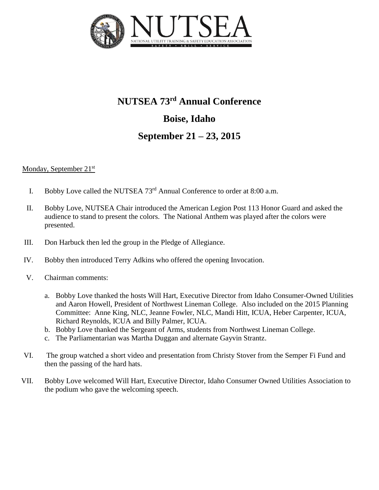

# **NUTSEA 73rd Annual Conference Boise, Idaho September 21 – 23, 2015**

## Monday, September 21<sup>st</sup>

- I. Bobby Love called the NUTSEA 73<sup>rd</sup> Annual Conference to order at 8:00 a.m.
- II. Bobby Love, NUTSEA Chair introduced the American Legion Post 113 Honor Guard and asked the audience to stand to present the colors. The National Anthem was played after the colors were presented.
- III. Don Harbuck then led the group in the Pledge of Allegiance.
- IV. Bobby then introduced Terry Adkins who offered the opening Invocation.
- V. Chairman comments:
	- a. Bobby Love thanked the hosts Will Hart, Executive Director from Idaho Consumer-Owned Utilities and Aaron Howell, President of Northwest Lineman College. Also included on the 2015 Planning Committee: Anne King, NLC, Jeanne Fowler, NLC, Mandi Hitt, ICUA, Heber Carpenter, ICUA, Richard Reynolds, ICUA and Billy Palmer, ICUA.
	- b. Bobby Love thanked the Sergeant of Arms, students from Northwest Lineman College.
	- c. The Parliamentarian was Martha Duggan and alternate Gayvin Strantz.
- VI. The group watched a short video and presentation from Christy Stover from the Semper Fi Fund and then the passing of the hard hats.
- VII. Bobby Love welcomed Will Hart, Executive Director, Idaho Consumer Owned Utilities Association to the podium who gave the welcoming speech.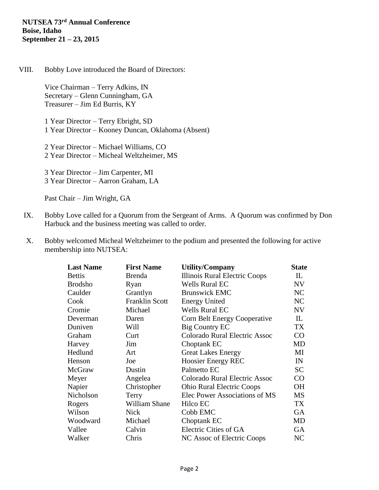## **NUTSEA 73rd Annual Conference Boise, Idaho September 21 – 23, 2015**

VIII. Bobby Love introduced the Board of Directors:

Vice Chairman – Terry Adkins, IN Secretary – Glenn Cunningham, GA Treasurer – Jim Ed Burris, KY

1 Year Director – Terry Ebright, SD 1 Year Director – Kooney Duncan, Oklahoma (Absent)

2 Year Director – Michael Williams, CO 2 Year Director – Micheal Weltzheimer, MS

3 Year Director – Jim Carpenter, MI 3 Year Director – Aarron Graham, LA

Past Chair – Jim Wright, GA

- IX. Bobby Love called for a Quorum from the Sergeant of Arms. A Quorum was confirmed by Don Harbuck and the business meeting was called to order.
- X. Bobby welcomed Micheal Weltzheimer to the podium and presented the following for active membership into NUTSEA:

| <b>Last Name</b> | <b>First Name</b>     | <b>Utility/Company</b>           | <b>State</b>   |
|------------------|-----------------------|----------------------------------|----------------|
| <b>Bettis</b>    | <b>Brenda</b>         | Illinois Rural Electric Coops    | $\mathbf{L}$   |
| <b>Brodsho</b>   | Ryan                  | <b>Wells Rural EC</b>            | <b>NV</b>      |
| Caulder          | Grantlyn              | <b>Brunswick EMC</b>             | NC             |
| Cook             | <b>Franklin Scott</b> | <b>Energy United</b>             | N <sub>C</sub> |
| Cromie           | Michael               | <b>Wells Rural EC</b>            | <b>NV</b>      |
| Deverman         | Daren                 | Corn Belt Energy Cooperative     | $\mathbf{L}$   |
| Duniven          | Will                  | Big Country EC                   | <b>TX</b>      |
| Graham           | Curt                  | Colorado Rural Electric Assoc    | CO             |
| Harvey           | Jim                   | Choptank EC                      | <b>MD</b>      |
| Hedlund          | Art                   | <b>Great Lakes Energy</b>        | MI             |
| Henson           | Joe                   | <b>Hoosier Energy REC</b>        | IN             |
| McGraw           | Dustin                | Palmetto EC                      | <b>SC</b>      |
| Meyer            | Angelea               | Colorado Rural Electric Assoc    | CO             |
| Napier           | Christopher           | <b>Ohio Rural Electric Coops</b> | <b>OH</b>      |
| Nicholson        | Terry                 | Elec Power Associations of MS    | <b>MS</b>      |
| Rogers           | William Shane         | Hilco EC                         | TX             |
| Wilson           | <b>Nick</b>           | Cobb EMC                         | <b>GA</b>      |
| Woodward         | Michael               | Choptank EC                      | MD             |
| Vallee           | Calvin                | Electric Cities of GA            | <b>GA</b>      |
| Walker           | Chris                 | NC Assoc of Electric Coops       | NC             |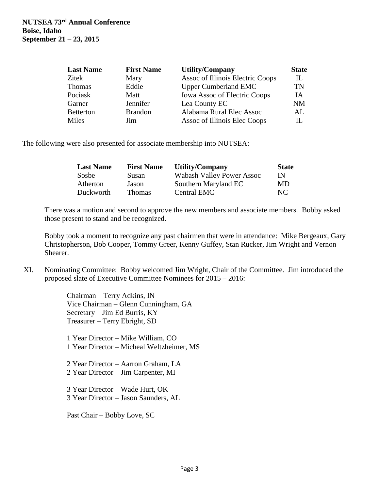| <b>Last Name</b> | <b>First Name</b> | Utility/Company                     | <b>State</b> |
|------------------|-------------------|-------------------------------------|--------------|
| <b>Zitek</b>     | Mary              | Assoc of Illinois Electric Coops    | IL           |
| <b>Thomas</b>    | Eddie             | <b>Upper Cumberland EMC</b>         | TN           |
| Pociask          | Matt              | <b>Iowa Assoc of Electric Coops</b> | IА           |
| Garner           | Jennifer          | Lea County EC                       | NΜ           |
| <b>Betterton</b> | <b>Brandon</b>    | Alabama Rural Elec Assoc            | AL           |
| Miles            | Jim               | Assoc of Illinois Elec Coops        | Н.           |

The following were also presented for associate membership into NUTSEA:

| <b>Last Name</b> | <b>First Name</b> | Utility/Company                  | <b>State</b> |
|------------------|-------------------|----------------------------------|--------------|
| Sosbe            | Susan             | <b>Wabash Valley Power Assoc</b> | IN           |
| Atherton         | Jason             | Southern Maryland EC             | MD           |
| Duckworth        | <b>Thomas</b>     | Central EMC                      | NC.          |

There was a motion and second to approve the new members and associate members. Bobby asked those present to stand and be recognized.

Bobby took a moment to recognize any past chairmen that were in attendance: Mike Bergeaux, Gary Christopherson, Bob Cooper, Tommy Greer, Kenny Guffey, Stan Rucker, Jim Wright and Vernon Shearer.

XI. Nominating Committee: Bobby welcomed Jim Wright, Chair of the Committee. Jim introduced the proposed slate of Executive Committee Nominees for 2015 – 2016:

> Chairman – Terry Adkins, IN Vice Chairman – Glenn Cunningham, GA Secretary – Jim Ed Burris, KY Treasurer – Terry Ebright, SD

1 Year Director – Mike William, CO 1 Year Director – Micheal Weltzheimer, MS

2 Year Director – Aarron Graham, LA 2 Year Director – Jim Carpenter, MI

3 Year Director – Wade Hurt, OK 3 Year Director – Jason Saunders, AL

Past Chair – Bobby Love, SC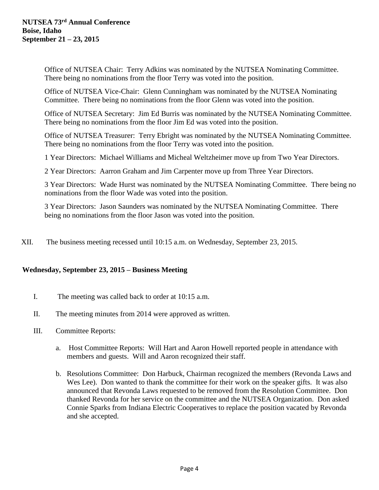Office of NUTSEA Chair: Terry Adkins was nominated by the NUTSEA Nominating Committee. There being no nominations from the floor Terry was voted into the position.

Office of NUTSEA Vice-Chair: Glenn Cunningham was nominated by the NUTSEA Nominating Committee. There being no nominations from the floor Glenn was voted into the position.

Office of NUTSEA Secretary: Jim Ed Burris was nominated by the NUTSEA Nominating Committee. There being no nominations from the floor Jim Ed was voted into the position.

Office of NUTSEA Treasurer: Terry Ebright was nominated by the NUTSEA Nominating Committee. There being no nominations from the floor Terry was voted into the position.

1 Year Directors: Michael Williams and Micheal Weltzheimer move up from Two Year Directors.

2 Year Directors: Aarron Graham and Jim Carpenter move up from Three Year Directors.

3 Year Directors: Wade Hurst was nominated by the NUTSEA Nominating Committee. There being no nominations from the floor Wade was voted into the position.

3 Year Directors: Jason Saunders was nominated by the NUTSEA Nominating Committee. There being no nominations from the floor Jason was voted into the position.

XII. The business meeting recessed until 10:15 a.m. on Wednesday, September 23, 2015.

#### **Wednesday, September 23, 2015 – Business Meeting**

- I. The meeting was called back to order at 10:15 a.m.
- II. The meeting minutes from 2014 were approved as written.
- III. Committee Reports:
	- a. Host Committee Reports: Will Hart and Aaron Howell reported people in attendance with members and guests. Will and Aaron recognized their staff.
	- b. Resolutions Committee: Don Harbuck, Chairman recognized the members (Revonda Laws and Wes Lee). Don wanted to thank the committee for their work on the speaker gifts. It was also announced that Revonda Laws requested to be removed from the Resolution Committee. Don thanked Revonda for her service on the committee and the NUTSEA Organization. Don asked Connie Sparks from Indiana Electric Cooperatives to replace the position vacated by Revonda and she accepted.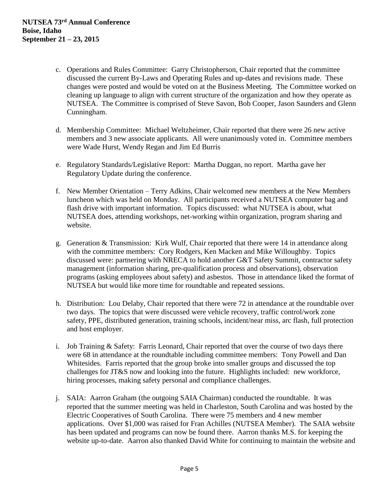- c. Operations and Rules Committee: Garry Christopherson, Chair reported that the committee discussed the current By-Laws and Operating Rules and up-dates and revisions made. These changes were posted and would be voted on at the Business Meeting. The Committee worked on cleaning up language to align with current structure of the organization and how they operate as NUTSEA. The Committee is comprised of Steve Savon, Bob Cooper, Jason Saunders and Glenn Cunningham.
- d. Membership Committee: Michael Weltzheimer, Chair reported that there were 26 new active members and 3 new associate applicants. All were unanimously voted in. Committee members were Wade Hurst, Wendy Regan and Jim Ed Burris
- e. Regulatory Standards/Legislative Report: Martha Duggan, no report. Martha gave her Regulatory Update during the conference.
- f. New Member Orientation Terry Adkins, Chair welcomed new members at the New Members luncheon which was held on Monday. All participants received a NUTSEA computer bag and flash drive with important information. Topics discussed: what NUTSEA is about, what NUTSEA does, attending workshops, net-working within organization, program sharing and website.
- g. Generation & Transmission: Kirk Wulf, Chair reported that there were 14 in attendance along with the committee members: Cory Rodgers, Ken Macken and Mike Willoughby. Topics discussed were: partnering with NRECA to hold another G&T Safety Summit, contractor safety management (information sharing, pre-qualification process and observations), observation programs (asking employees about safety) and asbestos. Those in attendance liked the format of NUTSEA but would like more time for roundtable and repeated sessions.
- h. Distribution: Lou Delaby, Chair reported that there were 72 in attendance at the roundtable over two days. The topics that were discussed were vehicle recovery, traffic control/work zone safety, PPE, distributed generation, training schools, incident/near miss, arc flash, full protection and host employer.
- i. Job Training & Safety: Farris Leonard, Chair reported that over the course of two days there were 68 in attendance at the roundtable including committee members: Tony Powell and Dan Whitesides. Farris reported that the group broke into smaller groups and discussed the top challenges for JT&S now and looking into the future. Highlights included: new workforce, hiring processes, making safety personal and compliance challenges.
- j. SAIA: Aarron Graham (the outgoing SAIA Chairman) conducted the roundtable. It was reported that the summer meeting was held in Charleston, South Carolina and was hosted by the Electric Cooperatives of South Carolina. There were 75 members and 4 new member applications. Over \$1,000 was raised for Fran Achilles (NUTSEA Member). The SAIA website has been updated and programs can now be found there. Aarron thanks M.S. for keeping the website up-to-date. Aarron also thanked David White for continuing to maintain the website and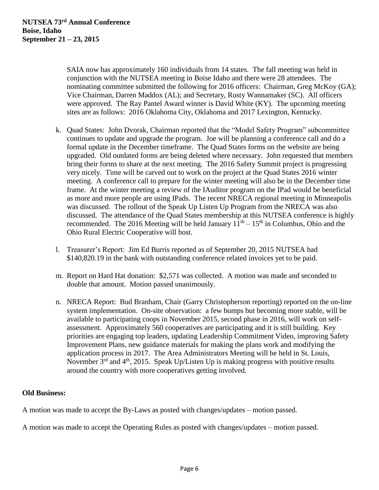SAIA now has approximately 160 individuals from 14 states. The fall meeting was held in conjunction with the NUTSEA meeting in Boise Idaho and there were 28 attendees. The nominating committee submitted the following for 2016 officers: Chairman, Greg McKoy (GA); Vice Chairman, Darren Maddox (AL); and Secretary, Rusty Wannamaker (SC). All officers were approved. The Ray Pantel Award winner is David White (KY). The upcoming meeting sites are as follows: 2016 Oklahoma City, Oklahoma and 2017 Lexington, Kentucky.

- k. Quad States: John Dvorak, Chairman reported that the "Model Safety Program" subcommittee continues to update and upgrade the program. Joe will be planning a conference call and do a formal update in the December timeframe. The Quad States forms on the website are being upgraded. Old outdated forms are being deleted where necessary. John requested that members bring their forms to share at the next meeting. The 2016 Safety Summit project is progressing very nicely. Time will be carved out to work on the project at the Quad States 2016 winter meeting. A conference call to prepare for the winter meeting will also be in the December time frame. At the winter meeting a review of the IAuditor program on the IPad would be beneficial as more and more people are using IPads. The recent NRECA regional meeting in Minneapolis was discussed. The rollout of the Speak Up Listen Up Program from the NRECA was also discussed. The attendance of the Quad States membership at this NUTSEA conference is highly recommended. The 2016 Meeting will be held January  $11<sup>th</sup> - 15<sup>th</sup>$  in Columbus, Ohio and the Ohio Rural Electric Cooperative will host.
- l. Treasurer's Report: Jim Ed Burris reported as of September 20, 2015 NUTSEA had \$140,820.19 in the bank with outstanding conference related invoices yet to be paid.
- m. Report on Hard Hat donation: \$2,571 was collected. A motion was made and seconded to double that amount. Motion passed unanimously.
- n. NRECA Report: Bud Branham, Chair (Garry Christopherson reporting) reported on the on-line system implementation. On-site observation: a few bumps but becoming more stable, will be available to participating coops in November 2015, second phase in 2016, will work on selfassessment. Approximately 560 cooperatives are participating and it is still building. Key priorities are engaging top leaders, updating Leadership Commitment Video, improving Safety Improvement Plans, new guidance materials for making the plans work and modifying the application process in 2017. The Area Administrators Meeting will be held in St. Louis, November  $3<sup>rd</sup>$  and  $4<sup>th</sup>$ , 2015. Speak Up/Listen Up is making progress with positive results around the country with more cooperatives getting involved.

# **Old Business:**

A motion was made to accept the By-Laws as posted with changes/updates – motion passed.

A motion was made to accept the Operating Rules as posted with changes/updates – motion passed.